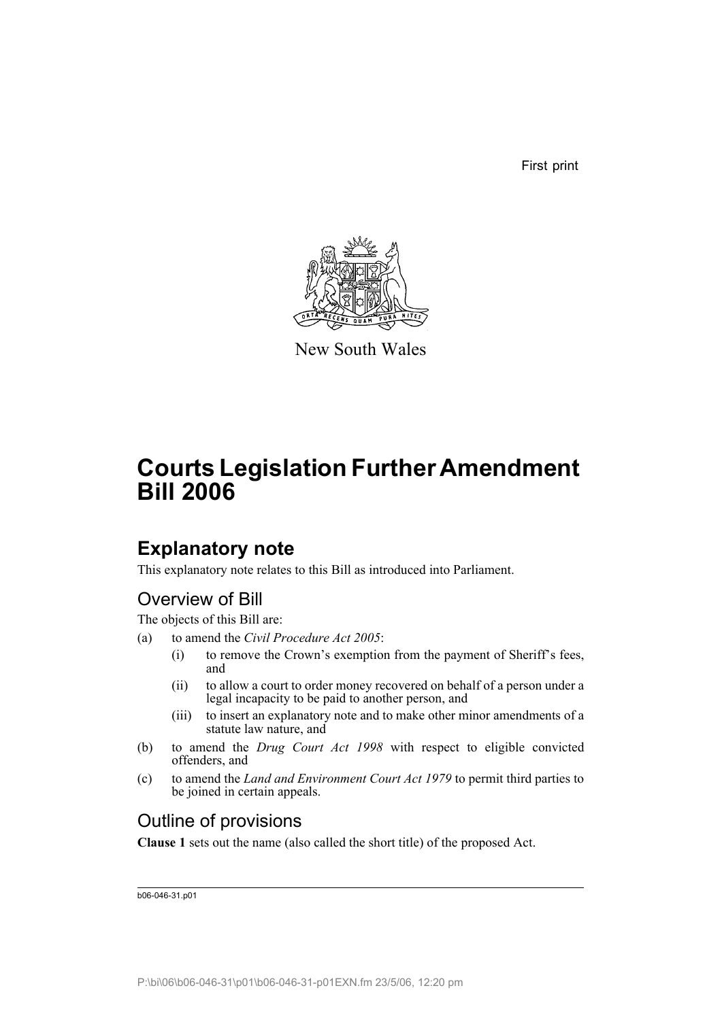First print



New South Wales

# **Courts Legislation Further Amendment Bill 2006**

## **Explanatory note**

This explanatory note relates to this Bill as introduced into Parliament.

### Overview of Bill

The objects of this Bill are:

- (a) to amend the *Civil Procedure Act 2005*:
	- (i) to remove the Crown's exemption from the payment of Sheriff's fees, and
	- (ii) to allow a court to order money recovered on behalf of a person under a legal incapacity to be paid to another person, and
	- (iii) to insert an explanatory note and to make other minor amendments of a statute law nature, and
- (b) to amend the *Drug Court Act 1998* with respect to eligible convicted offenders, and
- (c) to amend the *Land and Environment Court Act 1979* to permit third parties to be joined in certain appeals.

### Outline of provisions

**Clause 1** sets out the name (also called the short title) of the proposed Act.

b06-046-31.p01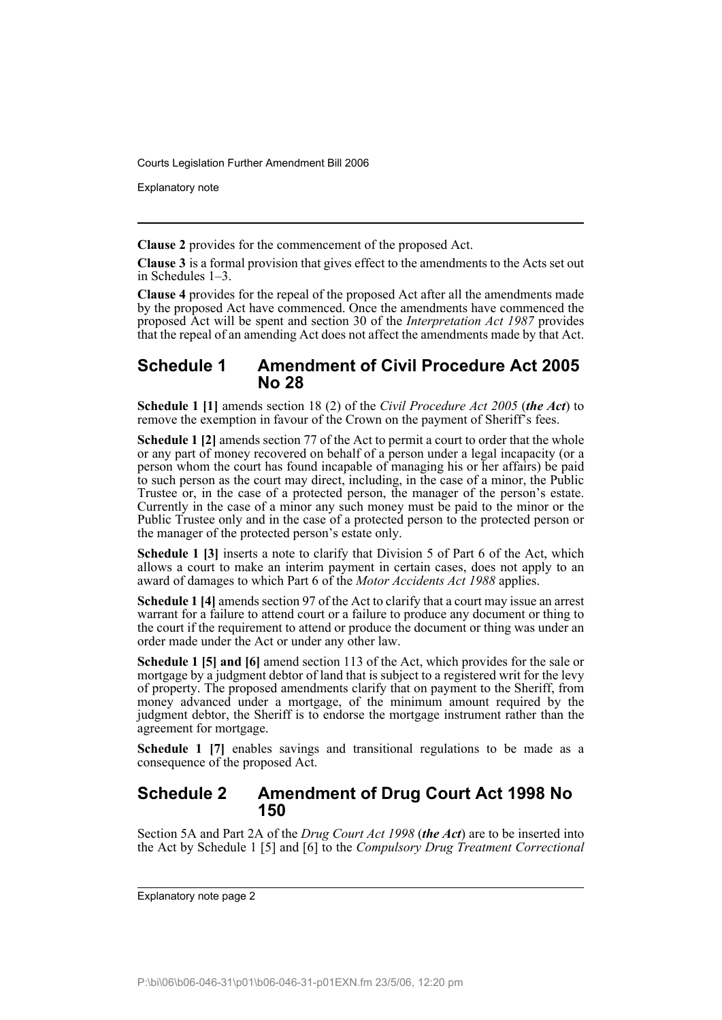Explanatory note

**Clause 2** provides for the commencement of the proposed Act.

**Clause 3** is a formal provision that gives effect to the amendments to the Acts set out in Schedules 1–3.

**Clause 4** provides for the repeal of the proposed Act after all the amendments made by the proposed Act have commenced. Once the amendments have commenced the proposed Act will be spent and section 30 of the *Interpretation Act 1987* provides that the repeal of an amending Act does not affect the amendments made by that Act.

### **Schedule 1 Amendment of Civil Procedure Act 2005 No 28**

**Schedule 1 [1]** amends section 18 (2) of the *Civil Procedure Act 2005* (*the Act*) to remove the exemption in favour of the Crown on the payment of Sheriff's fees.

**Schedule 1 [2]** amends section 77 of the Act to permit a court to order that the whole or any part of money recovered on behalf of a person under a legal incapacity (or a person whom the court has found incapable of managing his or her affairs) be paid to such person as the court may direct, including, in the case of a minor, the Public Trustee or, in the case of a protected person, the manager of the person's estate. Currently in the case of a minor any such money must be paid to the minor or the Public Trustee only and in the case of a protected person to the protected person or the manager of the protected person's estate only.

**Schedule 1 [3]** inserts a note to clarify that Division 5 of Part 6 of the Act, which allows a court to make an interim payment in certain cases, does not apply to an award of damages to which Part 6 of the *Motor Accidents Act 1988* applies.

**Schedule 1 [4]** amends section 97 of the Act to clarify that a court may issue an arrest warrant for a failure to attend court or a failure to produce any document or thing to the court if the requirement to attend or produce the document or thing was under an order made under the Act or under any other law.

**Schedule 1 [5] and [6]** amend section 113 of the Act, which provides for the sale or mortgage by a judgment debtor of land that is subject to a registered writ for the levy of property. The proposed amendments clarify that on payment to the Sheriff, from money advanced under a mortgage, of the minimum amount required by the judgment debtor, the Sheriff is to endorse the mortgage instrument rather than the agreement for mortgage.

Schedule 1 [7] enables savings and transitional regulations to be made as a consequence of the proposed Act.

### **Schedule 2 Amendment of Drug Court Act 1998 No 150**

Section 5A and Part 2A of the *Drug Court Act 1998* (*the Act*) are to be inserted into the Act by Schedule 1 [5] and [6] to the *Compulsory Drug Treatment Correctional*

Explanatory note page 2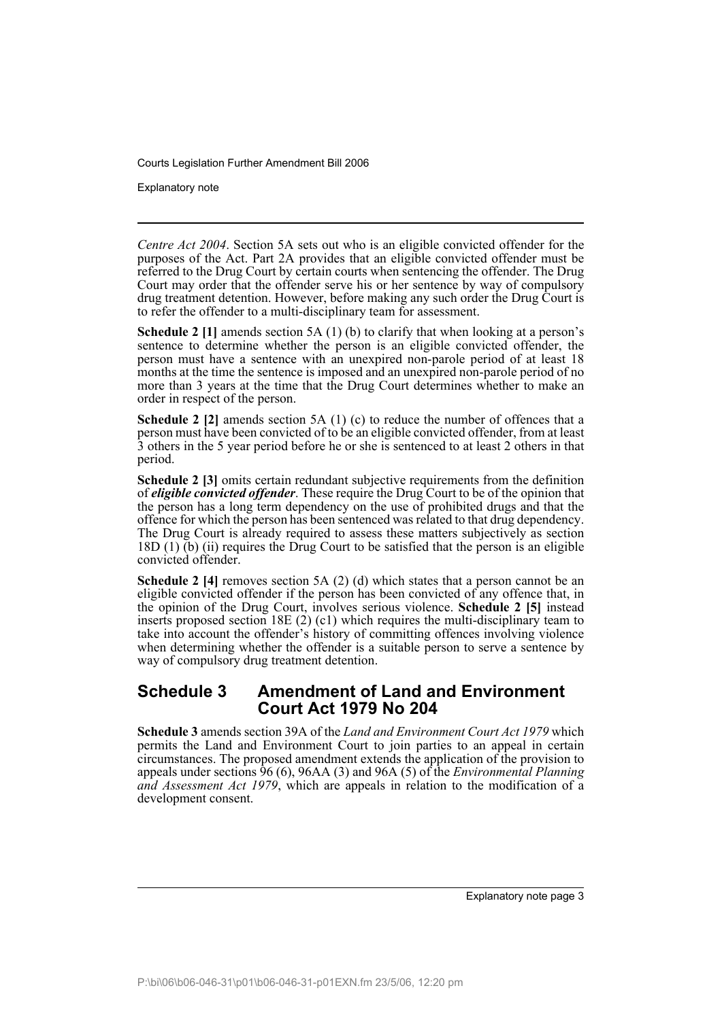Explanatory note

*Centre Act 2004*. Section 5A sets out who is an eligible convicted offender for the purposes of the Act. Part 2A provides that an eligible convicted offender must be referred to the Drug Court by certain courts when sentencing the offender. The Drug Court may order that the offender serve his or her sentence by way of compulsory drug treatment detention. However, before making any such order the Drug Court is to refer the offender to a multi-disciplinary team for assessment.

**Schedule 2** [1] amends section 5A (1) (b) to clarify that when looking at a person's sentence to determine whether the person is an eligible convicted offender, the person must have a sentence with an unexpired non-parole period of at least 18 months at the time the sentence is imposed and an unexpired non-parole period of no more than 3 years at the time that the Drug Court determines whether to make an order in respect of the person.

**Schedule 2 [2]** amends section 5A (1) (c) to reduce the number of offences that a person must have been convicted of to be an eligible convicted offender, from at least 3 others in the 5 year period before he or she is sentenced to at least 2 others in that period.

**Schedule 2 [3]** omits certain redundant subjective requirements from the definition of *eligible convicted offender*. These require the Drug Court to be of the opinion that the person has a long term dependency on the use of prohibited drugs and that the offence for which the person has been sentenced was related to that drug dependency. The Drug Court is already required to assess these matters subjectively as section 18D (1) (b) (ii) requires the Drug Court to be satisfied that the person is an eligible convicted offender.

**Schedule 2 [4]** removes section 5A (2) (d) which states that a person cannot be an eligible convicted offender if the person has been convicted of any offence that, in the opinion of the Drug Court, involves serious violence. **Schedule 2 [5]** instead inserts proposed section 18E (2) (c1) which requires the multi-disciplinary team to take into account the offender's history of committing offences involving violence when determining whether the offender is a suitable person to serve a sentence by way of compulsory drug treatment detention.

#### **Schedule 3 Amendment of Land and Environment Court Act 1979 No 204**

**Schedule 3** amends section 39A of the *Land and Environment Court Act 1979* which permits the Land and Environment Court to join parties to an appeal in certain circumstances. The proposed amendment extends the application of the provision to appeals under sections 96 (6), 96AA (3) and 96A (5) of the *Environmental Planning and Assessment Act 1979*, which are appeals in relation to the modification of a development consent.

Explanatory note page 3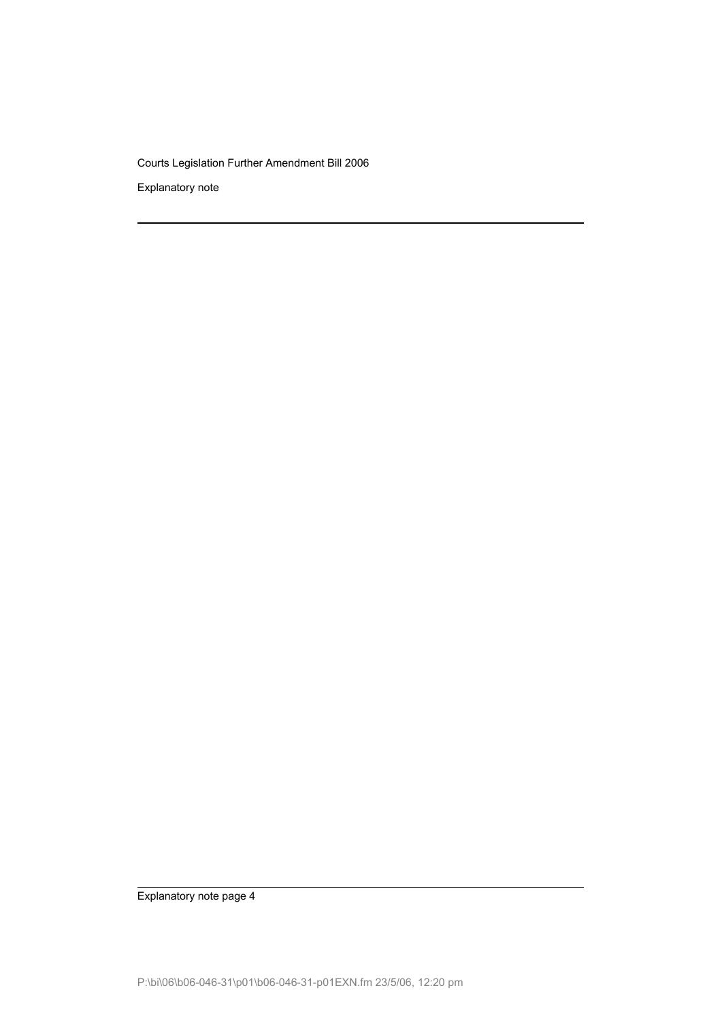Explanatory note

Explanatory note page 4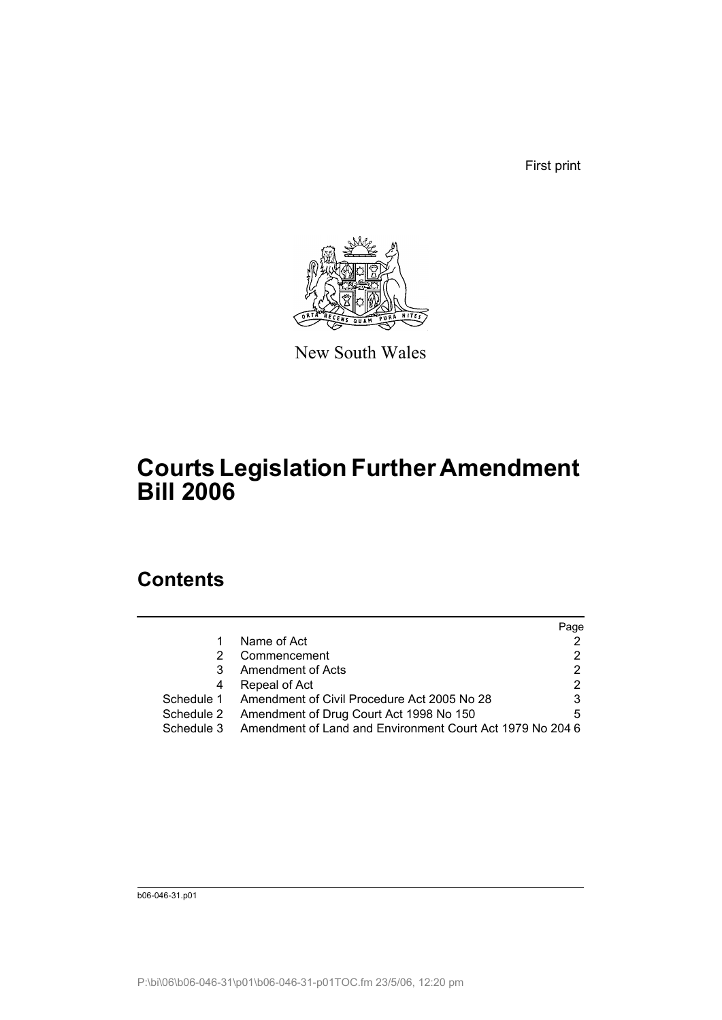First print



New South Wales

# **Courts Legislation Further Amendment Bill 2006**

## **Contents**

|            |                                                           | Page |
|------------|-----------------------------------------------------------|------|
|            | Name of Act                                               |      |
|            | Commencement                                              |      |
| 3          | Amendment of Acts                                         | 2    |
| 4          | Repeal of Act                                             | 2    |
|            | Schedule 1 Amendment of Civil Procedure Act 2005 No 28    |      |
|            | Schedule 2 Amendment of Drug Court Act 1998 No 150        | 5    |
| Schedule 3 | Amendment of Land and Environment Court Act 1979 No 204 6 |      |

b06-046-31.p01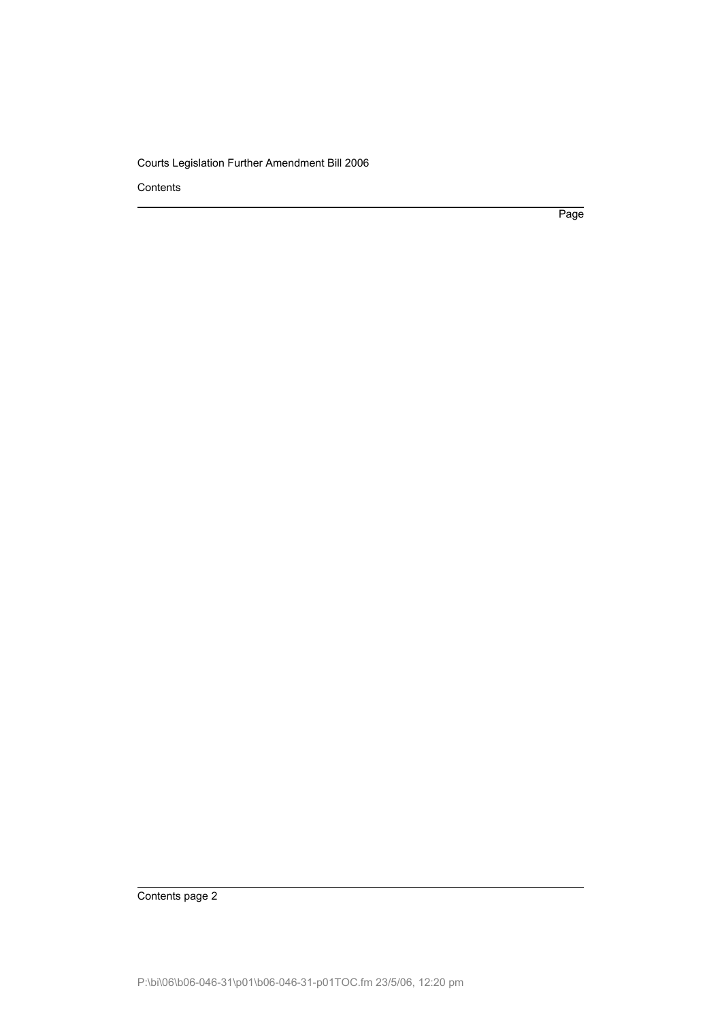Contents

Page

Contents page 2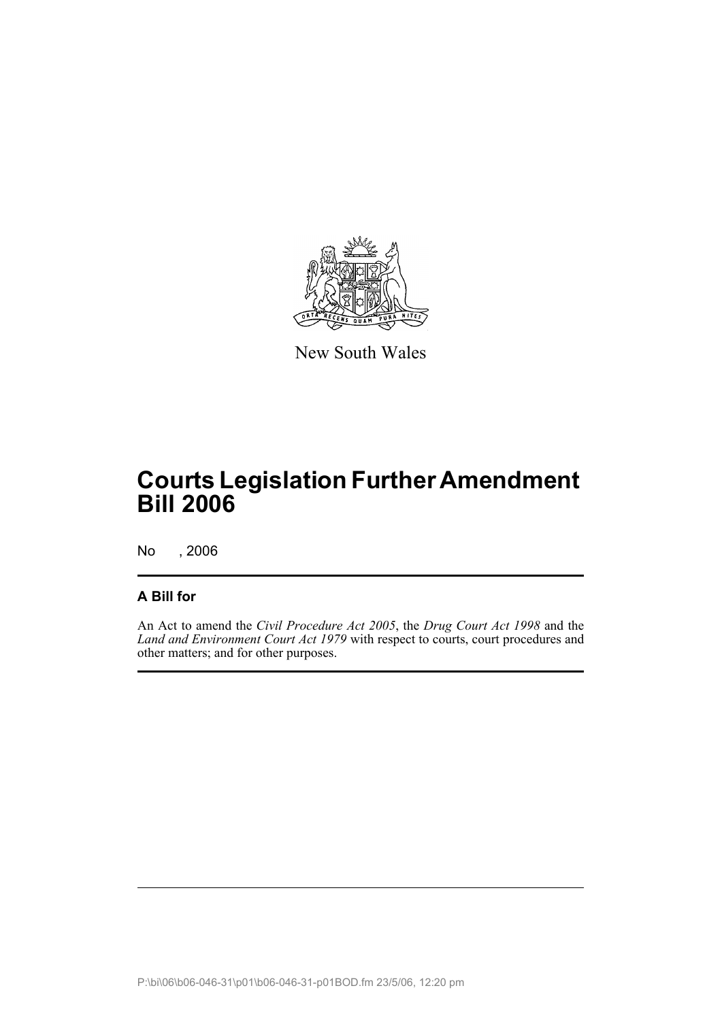

New South Wales

# **Courts Legislation Further Amendment Bill 2006**

No , 2006

#### **A Bill for**

An Act to amend the *Civil Procedure Act 2005*, the *Drug Court Act 1998* and the *Land and Environment Court Act 1979* with respect to courts, court procedures and other matters; and for other purposes.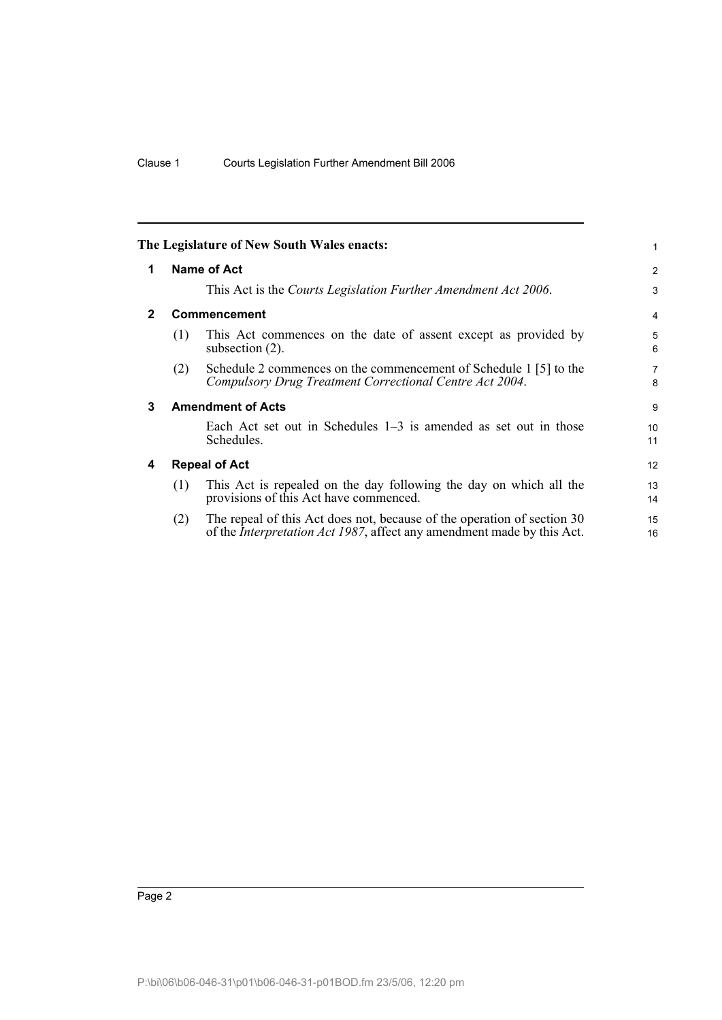<span id="page-7-1"></span><span id="page-7-0"></span>

|              |     | The Legislature of New South Wales enacts:                                                                                                                | 1                   |  |
|--------------|-----|-----------------------------------------------------------------------------------------------------------------------------------------------------------|---------------------|--|
| 1            |     | <b>Name of Act</b>                                                                                                                                        |                     |  |
|              |     | This Act is the Courts Legislation Further Amendment Act 2006.                                                                                            | 3                   |  |
| $\mathbf{2}$ |     | Commencement                                                                                                                                              | $\overline{4}$      |  |
|              | (1) | This Act commences on the date of assent except as provided by<br>subsection $(2)$ .                                                                      | 5<br>6              |  |
|              | (2) | Schedule 2 commences on the commencement of Schedule 1 [5] to the<br>Compulsory Drug Treatment Correctional Centre Act 2004.                              | $\overline{7}$<br>8 |  |
| 3            |     | <b>Amendment of Acts</b>                                                                                                                                  | 9                   |  |
|              |     | Each Act set out in Schedules $1-3$ is amended as set out in those<br>Schedules.                                                                          | 10<br>11            |  |
| 4            |     | <b>Repeal of Act</b>                                                                                                                                      | 12                  |  |
|              | (1) | This Act is repealed on the day following the day on which all the<br>provisions of this Act have commenced.                                              | 13<br>14            |  |
|              | (2) | The repeal of this Act does not, because of the operation of section 30<br>of the <i>Interpretation Act 1987</i> , affect any amendment made by this Act. | 15<br>16            |  |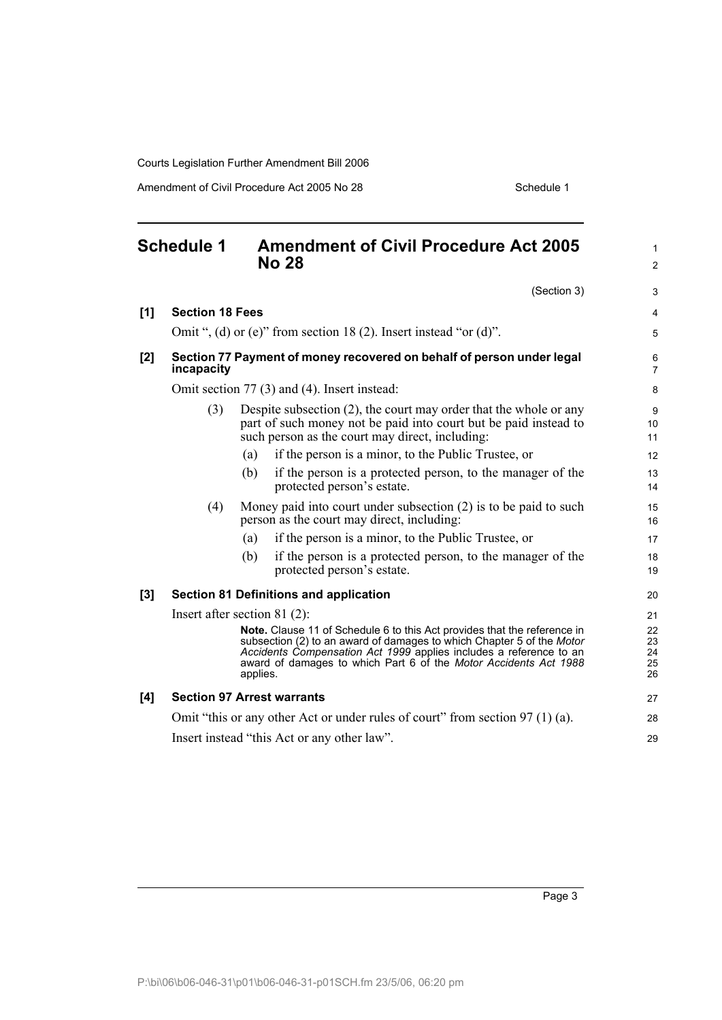Amendment of Civil Procedure Act 2005 No 28 Schedule 1

<span id="page-8-0"></span>

|       | <b>Schedule 1</b>                                                             |                                              | <b>Amendment of Civil Procedure Act 2005</b><br><b>No 28</b>                                                                                                                                                                                                                                | $\mathbf{1}$<br>2          |
|-------|-------------------------------------------------------------------------------|----------------------------------------------|---------------------------------------------------------------------------------------------------------------------------------------------------------------------------------------------------------------------------------------------------------------------------------------------|----------------------------|
|       |                                                                               |                                              | (Section 3)                                                                                                                                                                                                                                                                                 | 3                          |
| [1]   | <b>Section 18 Fees</b>                                                        |                                              |                                                                                                                                                                                                                                                                                             | 4                          |
|       |                                                                               |                                              | Omit ", (d) or (e)" from section 18 (2). Insert instead "or (d)".                                                                                                                                                                                                                           | 5                          |
| [2]   | incapacity                                                                    |                                              | Section 77 Payment of money recovered on behalf of person under legal                                                                                                                                                                                                                       | 6<br>$\overline{7}$        |
|       |                                                                               | Omit section 77 (3) and (4). Insert instead: |                                                                                                                                                                                                                                                                                             |                            |
|       | (3)                                                                           |                                              | Despite subsection (2), the court may order that the whole or any<br>part of such money not be paid into court but be paid instead to<br>such person as the court may direct, including:                                                                                                    | 9<br>10<br>11              |
|       |                                                                               | (a)                                          | if the person is a minor, to the Public Trustee, or                                                                                                                                                                                                                                         | 12                         |
|       |                                                                               | (b)                                          | if the person is a protected person, to the manager of the<br>protected person's estate.                                                                                                                                                                                                    | 13<br>14                   |
|       | (4)                                                                           |                                              | Money paid into court under subsection $(2)$ is to be paid to such<br>person as the court may direct, including:                                                                                                                                                                            | 15<br>16                   |
|       |                                                                               | (a)                                          | if the person is a minor, to the Public Trustee, or                                                                                                                                                                                                                                         | 17                         |
|       |                                                                               | (b)                                          | if the person is a protected person, to the manager of the<br>protected person's estate.                                                                                                                                                                                                    | 18<br>19                   |
| $[3]$ |                                                                               |                                              | <b>Section 81 Definitions and application</b>                                                                                                                                                                                                                                               | 20                         |
|       | Insert after section $81(2)$ :                                                |                                              |                                                                                                                                                                                                                                                                                             | 21                         |
|       |                                                                               | applies.                                     | Note. Clause 11 of Schedule 6 to this Act provides that the reference in<br>subsection (2) to an award of damages to which Chapter 5 of the Motor<br>Accidents Compensation Act 1999 applies includes a reference to an<br>award of damages to which Part 6 of the Motor Accidents Act 1988 | 22<br>23<br>24<br>25<br>26 |
| [4]   |                                                                               |                                              | <b>Section 97 Arrest warrants</b>                                                                                                                                                                                                                                                           | 27                         |
|       | Omit "this or any other Act or under rules of court" from section 97 (1) (a). |                                              |                                                                                                                                                                                                                                                                                             | 28                         |
|       | Insert instead "this Act or any other law".                                   |                                              |                                                                                                                                                                                                                                                                                             | 29                         |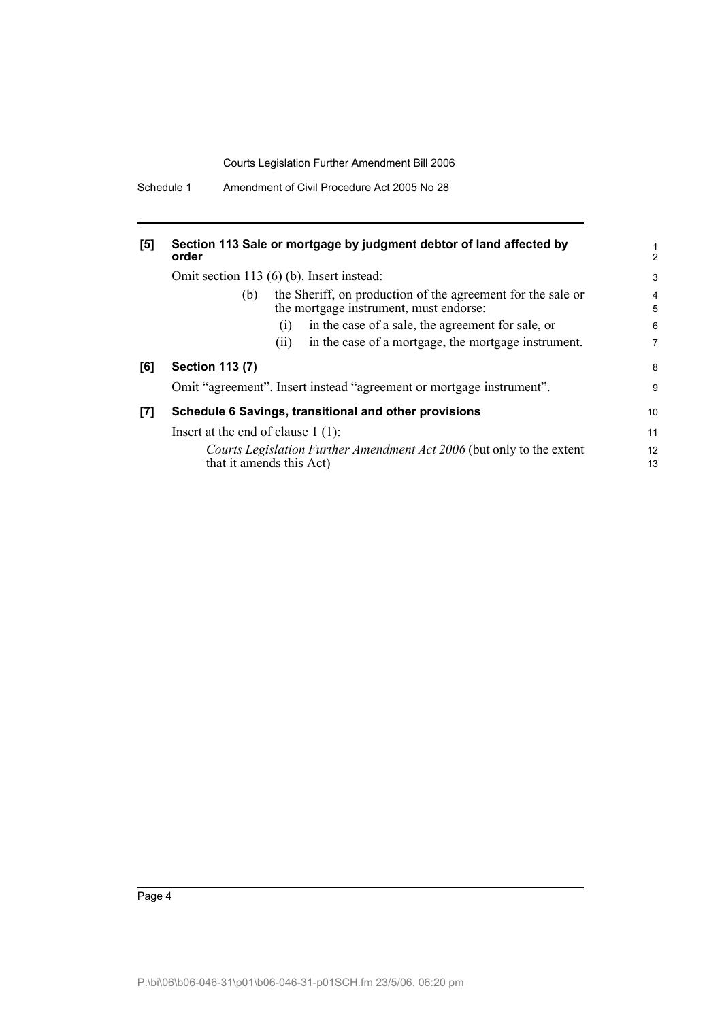Schedule 1 Amendment of Civil Procedure Act 2005 No 28

| [5] | order                                                                | Section 113 Sale or mortgage by judgment debtor of land affected by                                   |  |
|-----|----------------------------------------------------------------------|-------------------------------------------------------------------------------------------------------|--|
|     |                                                                      | Omit section 113 (6) (b). Insert instead:                                                             |  |
|     | (b)                                                                  | the Sheriff, on production of the agreement for the sale or<br>the mortgage instrument, must endorse: |  |
|     |                                                                      | in the case of a sale, the agreement for sale, or<br>(1)                                              |  |
|     |                                                                      | in the case of a mortgage, the mortgage instrument.<br>(ii)                                           |  |
| [6] | <b>Section 113 (7)</b>                                               |                                                                                                       |  |
|     | Omit "agreement". Insert instead "agreement or mortgage instrument". |                                                                                                       |  |
| [7] |                                                                      | Schedule 6 Savings, transitional and other provisions                                                 |  |

Insert at the end of clause 1 (1):

*Courts Legislation Further Amendment Act 2006* (but only to the extent that it amends this Act)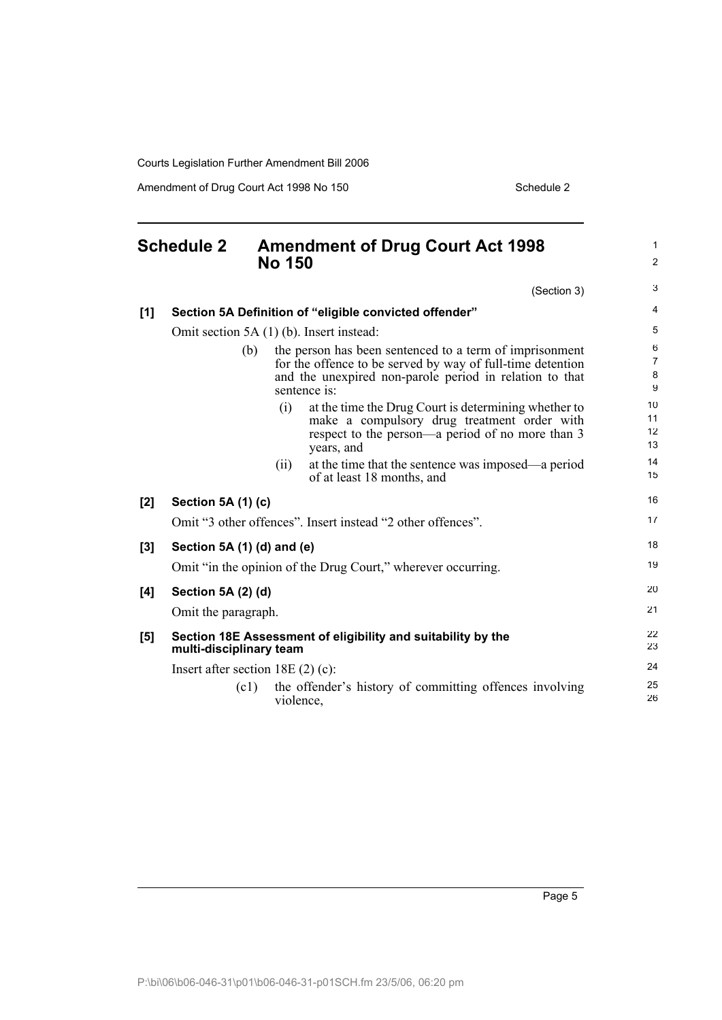Amendment of Drug Court Act 1998 No 150 Schedule 2 Schedule 2

1 2

### <span id="page-10-0"></span>**Schedule 2 Amendment of Drug Court Act 1998 No 150**

|       | (Section 3)                                                                                                                                                                                                                                                                                                                                                                                                                                          | 3                                                           |
|-------|------------------------------------------------------------------------------------------------------------------------------------------------------------------------------------------------------------------------------------------------------------------------------------------------------------------------------------------------------------------------------------------------------------------------------------------------------|-------------------------------------------------------------|
| [1]   | Section 5A Definition of "eligible convicted offender"                                                                                                                                                                                                                                                                                                                                                                                               | 4                                                           |
|       | Omit section 5A (1) (b). Insert instead:                                                                                                                                                                                                                                                                                                                                                                                                             |                                                             |
|       | the person has been sentenced to a term of imprisonment<br>(b)<br>for the offence to be served by way of full-time detention<br>and the unexpired non-parole period in relation to that<br>sentence is:<br>at the time the Drug Court is determining whether to<br>(i)<br>make a compulsory drug treatment order with<br>respect to the person—a period of no more than 3<br>years, and<br>at the time that the sentence was imposed—a period<br>(i) | 6<br>$\overline{7}$<br>8<br>9<br>10<br>11<br>12<br>13<br>14 |
|       | of at least 18 months, and                                                                                                                                                                                                                                                                                                                                                                                                                           | 15                                                          |
| $[2]$ | Section 5A (1) (c)                                                                                                                                                                                                                                                                                                                                                                                                                                   | 16                                                          |
|       | Omit "3 other offences". Insert instead "2 other offences".                                                                                                                                                                                                                                                                                                                                                                                          |                                                             |
| $[3]$ | Section 5A $(1)$ $(d)$ and $(e)$                                                                                                                                                                                                                                                                                                                                                                                                                     | 18                                                          |
|       | Omit "in the opinion of the Drug Court," wherever occurring.                                                                                                                                                                                                                                                                                                                                                                                         |                                                             |
| [4]   | Section 5A (2) (d)                                                                                                                                                                                                                                                                                                                                                                                                                                   | 20                                                          |
|       | Omit the paragraph.                                                                                                                                                                                                                                                                                                                                                                                                                                  | 21                                                          |
| [5]   | Section 18E Assessment of eligibility and suitability by the<br>multi-disciplinary team                                                                                                                                                                                                                                                                                                                                                              | 22<br>23                                                    |
|       | Insert after section $18E(2)$ (c):                                                                                                                                                                                                                                                                                                                                                                                                                   | 24                                                          |
|       | the offender's history of committing offences involving<br>(c1)<br>violence,                                                                                                                                                                                                                                                                                                                                                                         | 25<br>26                                                    |

Page 5